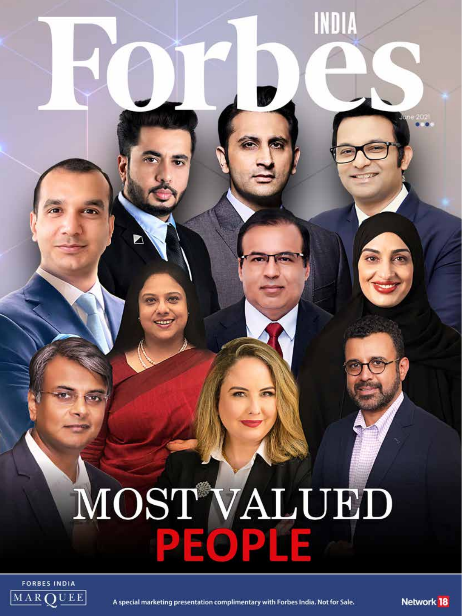## MOST<sup>A</sup>VALUED **DEOP**

INDIA



A special marketing presentation complimentary with Forbes India. Not for Sale. **Network 18**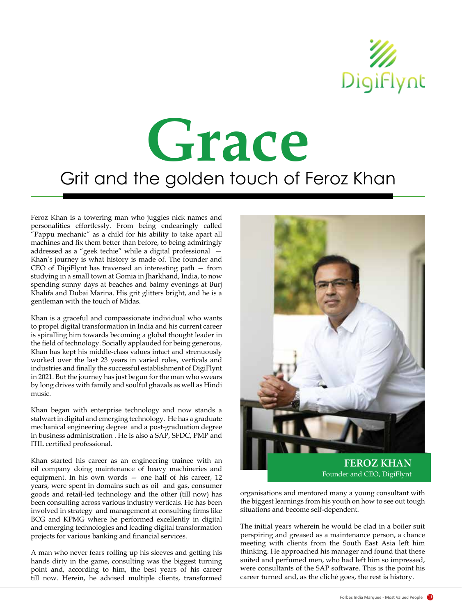

## Grit and the golden touch of Feroz Khan **Grace**

Feroz Khan is a towering man who juggles nick names and personalities effortlessly. From being endearingly called "Pappu mechanic" as a child for his ability to take apart all machines and fix them better than before, to being admiringly addressed as a "geek techie" while a digital professional — Khan's journey is what history is made of. The founder and CEO of DigiFlynt has traversed an interesting path — from studying in a small town at Gomia in Jharkhand, India, to now spending sunny days at beaches and balmy evenings at Burj Khalifa and Dubai Marina. His grit glitters bright, and he is a gentleman with the touch of Midas.

Khan is a graceful and compassionate individual who wants to propel digital transformation in India and his current career is spiralling him towards becoming a global thought leader in the field of technology. Socially applauded for being generous, Khan has kept his middle-class values intact and strenuously worked over the last 23 years in varied roles, verticals and industries and finally the successful establishment of DigiFlynt in 2021. But the journey has just begun for the man who swears by long drives with family and soulful ghazals as well as Hindi music.

Khan began with enterprise technology and now stands a stalwart in digital and emerging technology. He has a graduate mechanical engineering degree and a post-graduation degree in business administration . He is also a SAP, SFDC, PMP and ITIL certified professional.

Khan started his career as an engineering trainee with an oil company doing maintenance of heavy machineries and equipment. In his own words — one half of his career, 12 years, were spent in domains such as oil and gas, consumer goods and retail-led technology and the other (till now) has been consulting across various industry verticals. He has been involved in strategy and management at consulting firms like BCG and KPMG where he performed excellently in digital and emerging technologies and leading digital transformation projects for various banking and financial services.

A man who never fears rolling up his sleeves and getting his hands dirty in the game, consulting was the biggest turning point and, according to him, the best years of his career till now. Herein, he advised multiple clients, transformed



organisations and mentored many a young consultant with the biggest learnings from his youth on how to see out tough situations and become self-dependent.

The initial years wherein he would be clad in a boiler suit perspiring and greased as a maintenance person, a chance meeting with clients from the South East Asia left him thinking. He approached his manager and found that these suited and perfumed men, who had left him so impressed, were consultants of the SAP software. This is the point his career turned and, as the cliché goes, the rest is history.